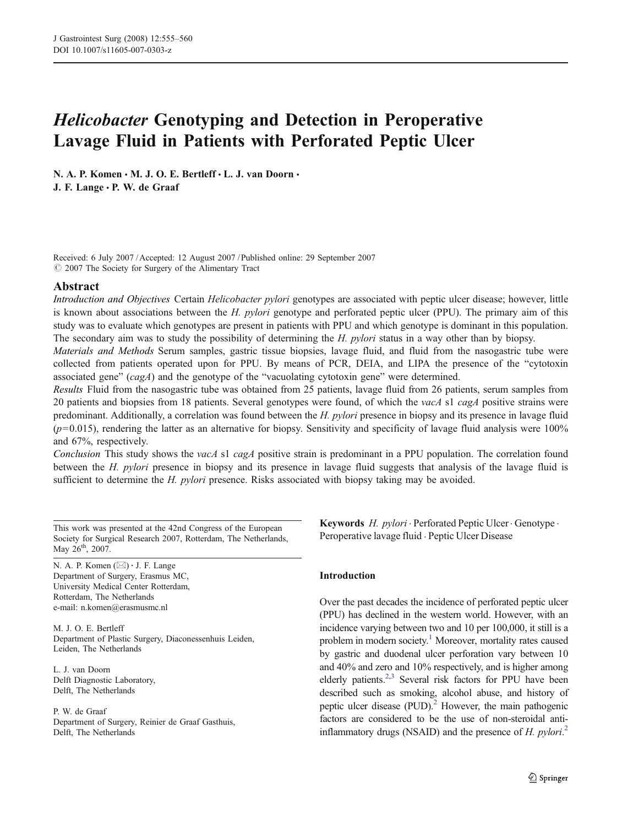# Helicobacter Genotyping and Detection in Peroperative Lavage Fluid in Patients with Perforated Peptic Ulcer

N. A. P. Komen · M. J. O. E. Bertleff · L. J. van Doorn · J. F. Lange · P. W. de Graaf

Received: 6 July 2007 /Accepted: 12 August 2007 / Published online: 29 September 2007  $Q$  2007 The Society for Surgery of the Alimentary Tract

#### Abstract

Introduction and Objectives Certain Helicobacter pylori genotypes are associated with peptic ulcer disease; however, little is known about associations between the H. pylori genotype and perforated peptic ulcer (PPU). The primary aim of this study was to evaluate which genotypes are present in patients with PPU and which genotype is dominant in this population. The secondary aim was to study the possibility of determining the H. pylori status in a way other than by biopsy.

Materials and Methods Serum samples, gastric tissue biopsies, lavage fluid, and fluid from the nasogastric tube were collected from patients operated upon for PPU. By means of PCR, DEIA, and LIPA the presence of the "cytotoxin associated gene"  $(cagA)$  and the genotype of the "vacuolating cytotoxin gene" were determined.

Results Fluid from the nasogastric tube was obtained from 25 patients, lavage fluid from 26 patients, serum samples from 20 patients and biopsies from 18 patients. Several genotypes were found, of which the *vacA* s1 *cagA* positive strains were predominant. Additionally, a correlation was found between the H. pylori presence in biopsy and its presence in lavage fluid  $(p=0.015)$ , rendering the latter as an alternative for biopsy. Sensitivity and specificity of lavage fluid analysis were 100% and 67%, respectively.

Conclusion This study shows the vacA s1 cagA positive strain is predominant in a PPU population. The correlation found between the H. pylori presence in biopsy and its presence in lavage fluid suggests that analysis of the lavage fluid is sufficient to determine the H. pylori presence. Risks associated with biopsy taking may be avoided.

This work was presented at the 42nd Congress of the European Society for Surgical Research 2007, Rotterdam, The Netherlands, May 26<sup>th</sup>, 2007.

N. A. P. Komen (*\**) *:* J. F. Lange Department of Surgery, Erasmus MC, University Medical Center Rotterdam, Rotterdam, The Netherlands e-mail: n.komen@erasmusmc.nl

M. J. O. E. Bertleff Department of Plastic Surgery, Diaconessenhuis Leiden, Leiden, The Netherlands

L. J. van Doorn Delft Diagnostic Laboratory, Delft, The Netherlands

P. W. de Graaf Department of Surgery, Reinier de Graaf Gasthuis, Delft, The Netherlands

Keywords H. pylori · Perforated Peptic Ulcer · Genotype · Peroperative lavage fluid . Peptic Ulcer Disease

## Introduction

Over the past decades the incidence of perforated peptic ulcer (PPU) has declined in the western world. However, with an incidence varying between two and 10 per 100,000, it still is a problem in modern society.<sup>1</sup> Moreover, mortality rates caused by gastric and duodenal ulcer perforation vary between 10 and 40% and zero and 10% respectively, and is higher among elderly patients.<sup>2,3</sup> Several risk factors for PPU have been described such as smoking, alcohol abuse, and history of peptic ulcer disease (PUD). $^{2}$  However, the main pathogenic factors are considered to be the use of non-steroidal antiinflammatory drugs (NSAID) and the presence of  $H.$   $pylori$ <sup>[2](#page-5-0)</sup>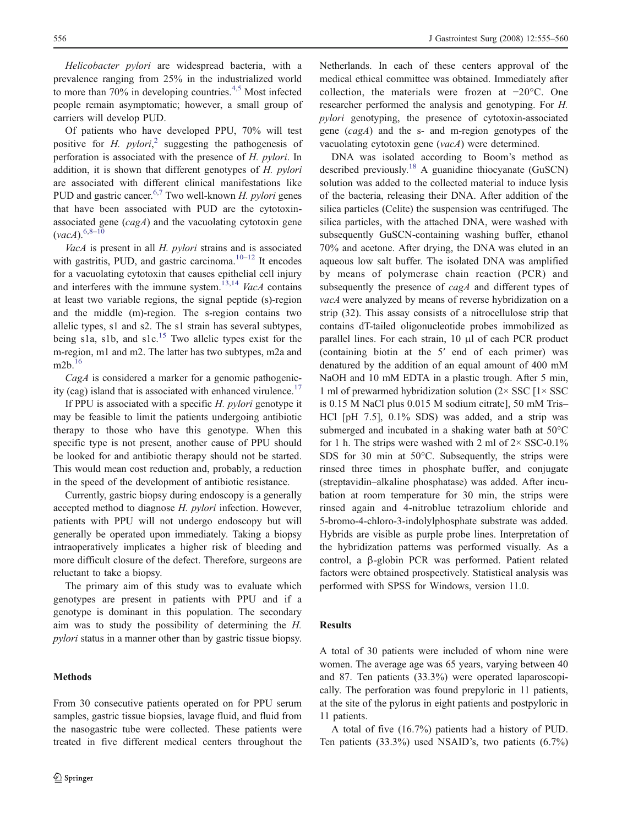Helicobacter pylori are widespread bacteria, with a prevalence ranging from 25% in the industrialized world to more than  $70\%$  in developing countries.<sup>[4,5](#page-5-0)</sup> Most infected people remain asymptomatic; however, a small group of carriers will develop PUD.

Of patients who have developed PPU, 70% will test positive for H. pylori,<sup>[2](#page-5-0)</sup> suggesting the pathogenesis of perforation is associated with the presence of H pylori. In perforation is associated with the presence of H. pylori. In addition, it is shown that different genotypes of H. pylori are associated with different clinical manifestations like PUD and gastric cancer.<sup>[6,7](#page-5-0)</sup> Two well-known *H. pylori* genes that have been associated with PUD are the cytotoxinassociated gene (cagA) and the vacuolating cytotoxin gene  $(vacA)^{6,8-10}$  $(vacA)^{6,8-10}$  $(vacA)^{6,8-10}$  $(vacA)^{6,8-10}$  $(vacA)^{6,8-10}$ 

VacA is present in all H. pylori strains and is associated with gastritis, PUD, and gastric carcinoma. $10-12$  $10-12$  $10-12$  It encodes for a vacuolating cytotoxin that causes epithelial cell injury and interferes with the immune system.<sup>[13,14](#page-5-0)</sup> VacA contains at least two variable regions, the signal peptide (s)-region and the middle (m)-region. The s-region contains two allelic types, s1 and s2. The s1 strain has several subtypes, being s1a, s1b, and  $s1c$ <sup>[15](#page-5-0)</sup> Two allelic types exist for the m-region, m1 and m2. The latter has two subtypes, m2a and m2b.[16](#page-5-0)

CagA is considered a marker for a genomic pathogenic-ity (cag) island that is associated with enhanced virulence.<sup>[17](#page-5-0)</sup>

If PPU is associated with a specific  $H$ . *pylori* genotype it may be feasible to limit the patients undergoing antibiotic therapy to those who have this genotype. When this specific type is not present, another cause of PPU should be looked for and antibiotic therapy should not be started. This would mean cost reduction and, probably, a reduction in the speed of the development of antibiotic resistance.

Currently, gastric biopsy during endoscopy is a generally accepted method to diagnose H. pylori infection. However, patients with PPU will not undergo endoscopy but will generally be operated upon immediately. Taking a biopsy intraoperatively implicates a higher risk of bleeding and more difficult closure of the defect. Therefore, surgeons are reluctant to take a biopsy.

The primary aim of this study was to evaluate which genotypes are present in patients with PPU and if a genotype is dominant in this population. The secondary aim was to study the possibility of determining the H. pylori status in a manner other than by gastric tissue biopsy.

#### Methods

From 30 consecutive patients operated on for PPU serum samples, gastric tissue biopsies, lavage fluid, and fluid from the nasogastric tube were collected. These patients were treated in five different medical centers throughout the Netherlands. In each of these centers approval of the medical ethical committee was obtained. Immediately after collection, the materials were frozen at *−*20°C. One researcher performed the analysis and genotyping. For H. pylori genotyping, the presence of cytotoxin-associated gene (cagA) and the s- and m-region genotypes of the vacuolating cytotoxin gene (vacA) were determined.

DNA was isolated according to Boom's method as described previously.<sup>[18](#page-5-0)</sup> A guanidine thiocyanate (GuSCN) solution was added to the collected material to induce lysis of the bacteria, releasing their DNA. After addition of the silica particles (Celite) the suspension was centrifuged. The silica particles, with the attached DNA, were washed with subsequently GuSCN-containing washing buffer, ethanol 70% and acetone. After drying, the DNA was eluted in an aqueous low salt buffer. The isolated DNA was amplified by means of polymerase chain reaction (PCR) and subsequently the presence of *cagA* and different types of vacA were analyzed by means of reverse hybridization on a strip (32). This assay consists of a nitrocellulose strip that contains dT-tailed oligonucleotide probes immobilized as parallel lines. For each strain, 10 μl of each PCR product (containing biotin at the 5′ end of each primer) was denatured by the addition of an equal amount of 400 mM NaOH and 10 mM EDTA in a plastic trough. After 5 min, 1 ml of prewarmed hybridization solution  $(2 \times SSC \times SSC)$ is 0.15 M NaCl plus 0.015 M sodium citrate], 50 mM Tris– HCl [pH 7.5], 0.1% SDS) was added, and a strip was submerged and incubated in a shaking water bath at 50°C for 1 h. The strips were washed with 2 ml of  $2 \times$  SSC-0.1% SDS for 30 min at 50°C. Subsequently, the strips were rinsed three times in phosphate buffer, and conjugate (streptavidin–alkaline phosphatase) was added. After incubation at room temperature for 30 min, the strips were rinsed again and 4-nitroblue tetrazolium chloride and 5-bromo-4-chloro-3-indolylphosphate substrate was added. Hybrids are visible as purple probe lines. Interpretation of the hybridization patterns was performed visually. As a control, a β-globin PCR was performed. Patient related factors were obtained prospectively. Statistical analysis was performed with SPSS for Windows, version 11.0.

#### Results

A total of 30 patients were included of whom nine were women. The average age was 65 years, varying between 40 and 87. Ten patients (33.3%) were operated laparoscopically. The perforation was found prepyloric in 11 patients, at the site of the pylorus in eight patients and postpyloric in 11 patients.

A total of five (16.7%) patients had a history of PUD. Ten patients (33.3%) used NSAID's, two patients (6.7%)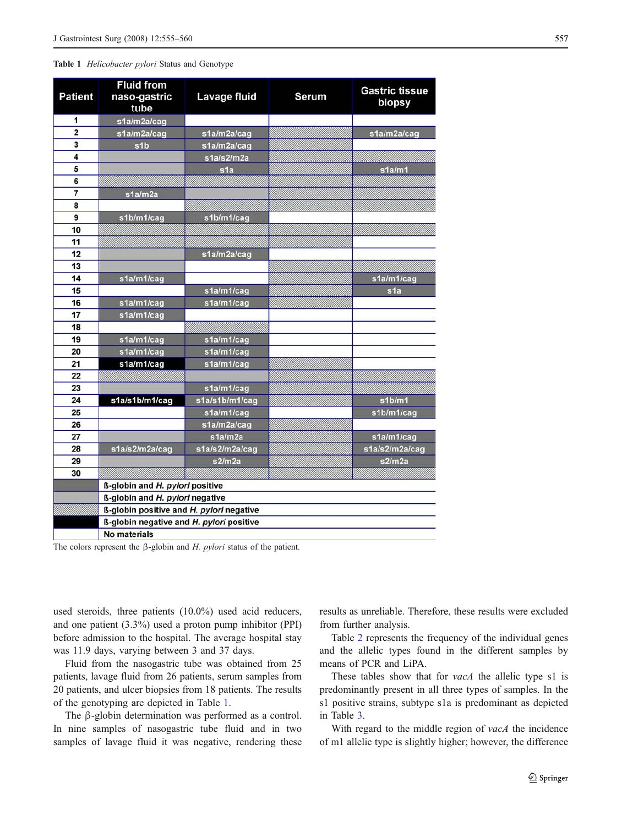#### <span id="page-2-0"></span>Table 1 Helicobacter pylori Status and Genotype

| <b>Patient</b>          | <b>Fluid from</b><br>naso-gastric        | Lavage fluid           | <b>Serum</b> | <b>Gastric tissue</b> |
|-------------------------|------------------------------------------|------------------------|--------------|-----------------------|
|                         | tube                                     |                        |              | biopsy                |
| 1                       | s1a/m2a/caq                              |                        |              |                       |
| $\overline{\mathbf{2}}$ | s1a/m2a/cag                              | s1a/m2a/cag            |              | s1a/m2a/cag           |
| 3                       | s <sub>1</sub> b                         | s1a/m2a/caq            |              |                       |
| 4                       |                                          | s1a/s2/m2a             |              |                       |
| 5                       |                                          | s1a                    |              | s1a/m1                |
| 6                       |                                          |                        |              |                       |
| 7                       | s1a/m2a                                  |                        |              |                       |
| 8                       |                                          |                        |              |                       |
| 9                       | s1b/m1/cag                               | s1b/m1/cag             |              |                       |
| 10                      |                                          |                        |              |                       |
| 11                      |                                          |                        |              |                       |
| 12                      |                                          | s1a/m2a/cag            |              |                       |
| 13                      |                                          |                        |              |                       |
| 14                      | s1a/m1/cag                               |                        |              | s1a/m1/cag            |
| 15                      |                                          | s1a/m1/cag             |              | s <sub>1</sub> a      |
| 16                      | s1a/m1/cag                               | s1a/m1/cag             |              |                       |
| 17                      | s1a/m1/cag                               |                        |              |                       |
| 18                      |                                          |                        |              |                       |
| 19                      | s1a/m1/cag                               | s1a/m1/cag             |              |                       |
| 20                      | s1a/m1/cag                               | s1a/m1/cag             |              |                       |
| 21                      | s1a/m1/cag                               | s1a/m1/cag             |              |                       |
| 22                      |                                          |                        |              |                       |
| 23                      |                                          | s1a/m1/cag             |              |                       |
| 24                      | s1a/s1b/m1/cag                           | s1a/s1b/m1/cag         |              | s1b/m1                |
| 25<br>26                |                                          | s1a/m1/cag             |              | s1b/m1/cag            |
| 27                      |                                          | s1a/m2a/cag<br>s1a/m2a |              | s1a/m1/cag            |
| 28                      | s1a/s2/m2a/cag                           | s1a/s2/m2a/cag         |              | s1a/s2/m2a/cag        |
| 29                      |                                          | s2/m2a                 |              | s2/m2a                |
| 30                      |                                          |                        |              |                       |
|                         | ß-globin and H. pylori positive          |                        |              |                       |
|                         | <b>ß-globin and H. pylori negative</b>   |                        |              |                       |
|                         | ß-globin positive and H. pylori negative |                        |              |                       |
|                         | ß-globin negative and H. pylori positive |                        |              |                       |
|                         | No materials                             |                        |              |                       |

The colors represent the  $\beta$ -globin and H. pylori status of the patient.

used steroids, three patients (10.0%) used acid reducers, and one patient (3.3%) used a proton pump inhibitor (PPI) before admission to the hospital. The average hospital stay was 11.9 days, varying between 3 and 37 days.

Fluid from the nasogastric tube was obtained from 25 patients, lavage fluid from 26 patients, serum samples from 20 patients, and ulcer biopsies from 18 patients. The results of the genotyping are depicted in Table 1.

The β-globin determination was performed as a control. In nine samples of nasogastric tube fluid and in two samples of lavage fluid it was negative, rendering these results as unreliable. Therefore, these results were excluded from further analysis.

Table [2](#page-3-0) represents the frequency of the individual genes and the allelic types found in the different samples by means of PCR and LiPA.

These tables show that for *vacA* the allelic type s1 is predominantly present in all three types of samples. In the s1 positive strains, subtype s1a is predominant as depicted in Table [3](#page-3-0).

With regard to the middle region of vacA the incidence of m1 allelic type is slightly higher; however, the difference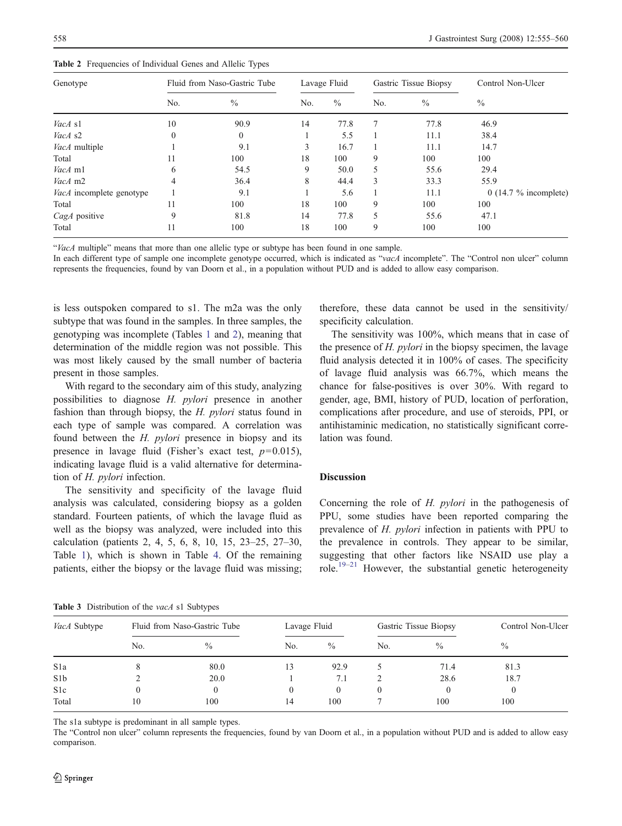<span id="page-3-0"></span>Table 2 Frequencies of Individual Genes and Allelic Types

| Genotype                 | Fluid from Naso-Gastric Tube |               | Lavage Fluid |      | Gastric Tissue Biopsy |      | Control Non-Ulcer       |  |
|--------------------------|------------------------------|---------------|--------------|------|-----------------------|------|-------------------------|--|
|                          | No.                          | $\frac{0}{0}$ | No.          | $\%$ | No.                   | $\%$ | $\%$                    |  |
| VacA s1                  | 10                           | 90.9          | 14           | 77.8 | 7                     | 77.8 | 46.9                    |  |
| VacA s2                  | $\Omega$                     | $\theta$      |              | 5.5  |                       | 11.1 | 38.4                    |  |
| <i>VacA</i> multiple     |                              | 9.1           | 3            | 16.7 |                       | 11.1 | 14.7                    |  |
| Total                    | 11                           | 100           | 18           | 100  | 9                     | 100  | 100                     |  |
| VacA m1                  | 6                            | 54.5          | 9            | 50.0 | 5                     | 55.6 | 29.4                    |  |
| VacA m2                  | 4                            | 36.4          | 8            | 44.4 | 3                     | 33.3 | 55.9                    |  |
| VacA incomplete genotype |                              | 9.1           |              | 5.6  |                       | 11.1 | $0$ (14.7 % incomplete) |  |
| Total                    | 11                           | 100           | 18           | 100  | 9                     | 100  | 100                     |  |
| CagA positive            | 9                            | 81.8          | 14           | 77.8 | 5                     | 55.6 | 47.1                    |  |
| Total                    | 11                           | 100           | 18           | 100  | 9                     | 100  | 100                     |  |

"VacA multiple" means that more than one allelic type or subtype has been found in one sample.

In each different type of sample one incomplete genotype occurred, which is indicated as "vacA incomplete". The "Control non ulcer" column represents the frequencies, found by van Doorn et al., in a population without PUD and is added to allow easy comparison.

is less outspoken compared to s1. The m2a was the only subtype that was found in the samples. In three samples, the genotyping was incomplete (Tables [1](#page-2-0) and 2), meaning that determination of the middle region was not possible. This was most likely caused by the small number of bacteria present in those samples.

With regard to the secondary aim of this study, analyzing possibilities to diagnose H. pylori presence in another fashion than through biopsy, the H. *pylori* status found in each type of sample was compared. A correlation was found between the H. pylori presence in biopsy and its presence in lavage fluid (Fisher's exact test,  $p=0.015$ ), indicating lavage fluid is a valid alternative for determination of H. pylori infection.

The sensitivity and specificity of the lavage fluid analysis was calculated, considering biopsy as a golden standard. Fourteen patients, of which the lavage fluid as well as the biopsy was analyzed, were included into this calculation (patients 2, 4, 5, 6, 8, 10, 15, 23–25, 27–30, Table [1\)](#page-2-0), which is shown in Table [4](#page-4-0). Of the remaining patients, either the biopsy or the lavage fluid was missing;

therefore, these data cannot be used in the sensitivity/ specificity calculation.

The sensitivity was 100%, which means that in case of the presence of  $H.$  pylori in the biopsy specimen, the lavage fluid analysis detected it in 100% of cases. The specificity of lavage fluid analysis was 66.7%, which means the chance for false-positives is over 30%. With regard to gender, age, BMI, history of PUD, location of perforation, complications after procedure, and use of steroids, PPI, or antihistaminic medication, no statistically significant correlation was found.

### **Discussion**

Concerning the role of H. *pylori* in the pathogenesis of PPU, some studies have been reported comparing the prevalence of H. pylori infection in patients with PPU to the prevalence in controls. They appear to be similar, suggesting that other factors like NSAID use play a role.[19](#page-5-0)[–](#page-5-0)[21](#page-5-0) However, the substantial genetic heterogeneity

Table 3 Distribution of the vacA s1 Subtypes

| <i>VacA</i> Subtype | Fluid from Naso-Gastric Tube |               | Lavage Fluid |               | Gastric Tissue Biopsy |               | Control Non-Ulcer |
|---------------------|------------------------------|---------------|--------------|---------------|-----------------------|---------------|-------------------|
|                     | No.                          | $\frac{0}{0}$ | No.          | $\frac{0}{0}$ | No.                   | $\frac{0}{0}$ | $\frac{0}{0}$     |
| S <sub>1</sub> a    |                              | 80.0          | 13           | 92.9          |                       | 71.4          | 81.3              |
| S <sub>1</sub> b    |                              | 20.0          |              | 7.1           |                       | 28.6          | 18.7              |
| S1c                 |                              |               | 0            | $\theta$      |                       |               |                   |
| Total               | 10                           | 100           | 14           | 100           |                       | 100           | 100               |

The s1a subtype is predominant in all sample types.

The "Control non ulcer" column represents the frequencies, found by van Doorn et al., in a population without PUD and is added to allow easy comparison.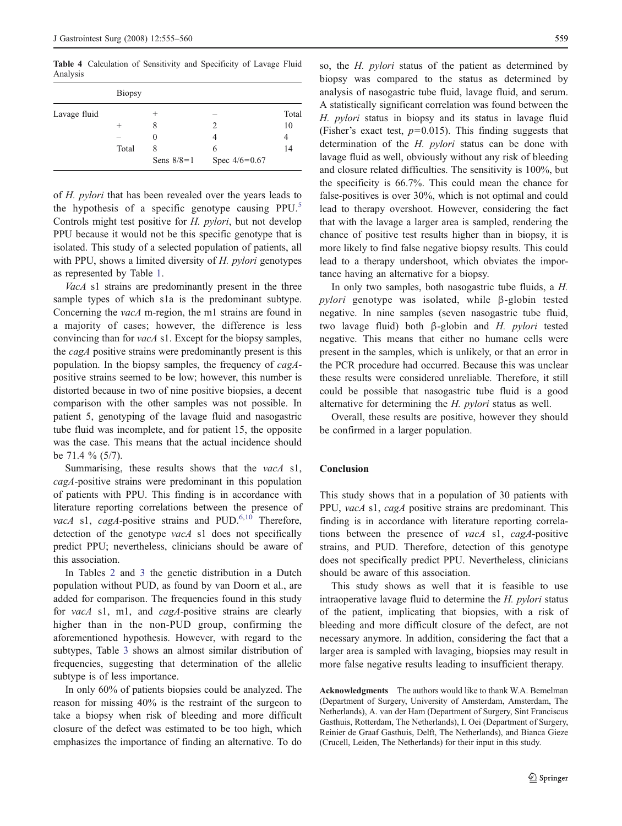<span id="page-4-0"></span>Table 4 Calculation of Sensitivity and Specificity of Lavage Fluid Analysis

| Lavage fluid | <b>Biopsy</b> |                   |                      |       |  |  |  |
|--------------|---------------|-------------------|----------------------|-------|--|--|--|
|              |               |                   |                      | Total |  |  |  |
|              | $^+$          |                   |                      | 10    |  |  |  |
|              |               | $\theta$          |                      | 4     |  |  |  |
|              | Total         | Χ<br>Sens $8/8=1$ | 6<br>Spec $4/6=0.67$ | 14    |  |  |  |

of H. pylori that has been revealed over the years leads to the hypothesis of a specific genotype causing  $PPU<sup>5</sup>$  $PPU<sup>5</sup>$  $PPU<sup>5</sup>$ Controls might test positive for H. pylori, but not develop PPU because it would not be this specific genotype that is isolated. This study of a selected population of patients, all with PPU, shows a limited diversity of H. pylori genotypes as represented by Table [1.](#page-2-0)

VacA s1 strains are predominantly present in the three sample types of which s1a is the predominant subtype. Concerning the vacA m-region, the m1 strains are found in a majority of cases; however, the difference is less convincing than for vacA s1. Except for the biopsy samples, the *cagA* positive strains were predominantly present is this population. In the biopsy samples, the frequency of cagApositive strains seemed to be low; however, this number is distorted because in two of nine positive biopsies, a decent comparison with the other samples was not possible. In patient 5, genotyping of the lavage fluid and nasogastric tube fluid was incomplete, and for patient 15, the opposite was the case. This means that the actual incidence should be 71.4 % (5/7).

Summarising, these results shows that the vacA s1, cagA-positive strains were predominant in this population of patients with PPU. This finding is in accordance with literature reporting correlations between the presence of vacA s1, cagA-positive strains and PUD. $6,10$  Therefore, detection of the genotype *vacA* s1 does not specifically predict PPU; nevertheless, clinicians should be aware of this association.

In Tables [2](#page-3-0) and [3](#page-3-0) the genetic distribution in a Dutch population without PUD, as found by van Doorn et al., are added for comparison. The frequencies found in this study for vacA s1, m1, and cagA-positive strains are clearly higher than in the non-PUD group, confirming the aforementioned hypothesis. However, with regard to the subtypes, Table [3](#page-3-0) shows an almost similar distribution of frequencies, suggesting that determination of the allelic subtype is of less importance.

In only 60% of patients biopsies could be analyzed. The reason for missing 40% is the restraint of the surgeon to take a biopsy when risk of bleeding and more difficult closure of the defect was estimated to be too high, which emphasizes the importance of finding an alternative. To do so, the H. pylori status of the patient as determined by biopsy was compared to the status as determined by analysis of nasogastric tube fluid, lavage fluid, and serum. A statistically significant correlation was found between the H. pylori status in biopsy and its status in lavage fluid (Fisher's exact test,  $p=0.015$ ). This finding suggests that determination of the H. pylori status can be done with lavage fluid as well, obviously without any risk of bleeding and closure related difficulties. The sensitivity is 100%, but the specificity is 66.7%. This could mean the chance for false-positives is over 30%, which is not optimal and could lead to therapy overshoot. However, considering the fact that with the lavage a larger area is sampled, rendering the chance of positive test results higher than in biopsy, it is more likely to find false negative biopsy results. This could lead to a therapy undershoot, which obviates the importance having an alternative for a biopsy.

In only two samples, both nasogastric tube fluids, a H. pylori genotype was isolated, while <sup>β</sup>-globin tested negative. In nine samples (seven nasogastric tube fluid, two lavage fluid) both <sup>β</sup>-globin and H. pylori tested negative. This means that either no humane cells were present in the samples, which is unlikely, or that an error in the PCR procedure had occurred. Because this was unclear these results were considered unreliable. Therefore, it still could be possible that nasogastric tube fluid is a good alternative for determining the H. pylori status as well.

Overall, these results are positive, however they should be confirmed in a larger population.

#### Conclusion

This study shows that in a population of 30 patients with PPU, vacA s1, cagA positive strains are predominant. This finding is in accordance with literature reporting correlations between the presence of vacA s1, cagA-positive strains, and PUD. Therefore, detection of this genotype does not specifically predict PPU. Nevertheless, clinicians should be aware of this association.

This study shows as well that it is feasible to use intraoperative lavage fluid to determine the H. pylori status of the patient, implicating that biopsies, with a risk of bleeding and more difficult closure of the defect, are not necessary anymore. In addition, considering the fact that a larger area is sampled with lavaging, biopsies may result in more false negative results leading to insufficient therapy.

Acknowledgments The authors would like to thank W.A. Bemelman (Department of Surgery, University of Amsterdam, Amsterdam, The Netherlands), A. van der Ham (Department of Surgery, Sint Franciscus Gasthuis, Rotterdam, The Netherlands), I. Oei (Department of Surgery, Reinier de Graaf Gasthuis, Delft, The Netherlands), and Bianca Gieze (Crucell, Leiden, The Netherlands) for their input in this study.